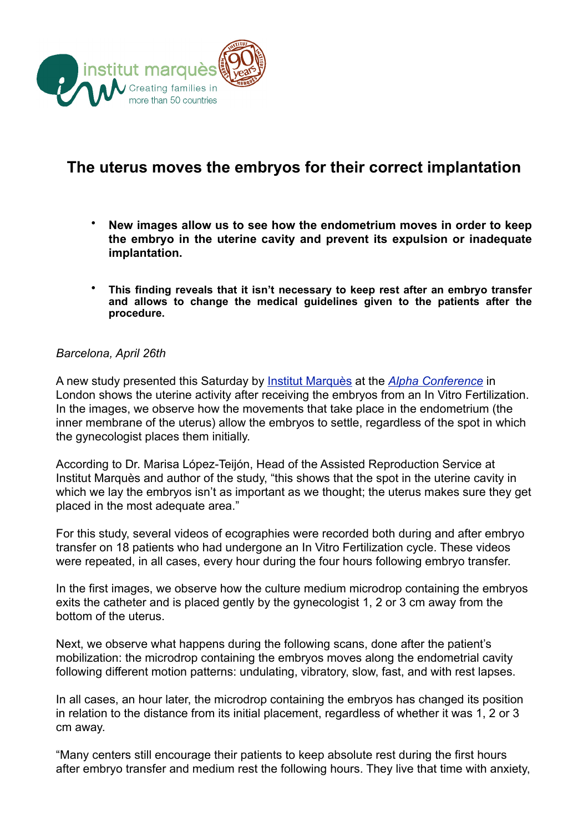

## **The uterus moves the embryos for their correct implantation**

- **New images allow us to see how the endometrium moves in order to keep the embryo in the uterine cavity and prevent its expulsion or inadequate implantation.**
- **This finding reveals that it isn't necessary to keep rest after an embryo transfer and allows to change the medical guidelines given to the patients after the procedure.**

## *Barcelona, April 26th*

A new study presented this Saturday by [Institut Marquès](http://www.institutmarques.com/) at the *[Alpha Conference](http://www.alphaconference.org/pages/biennial-conference--2012/welcome.php)* in London shows the uterine activity after receiving the embryos from an In Vitro Fertilization. In the images, we observe how the movements that take place in the endometrium (the inner membrane of the uterus) allow the embryos to settle, regardless of the spot in which the gynecologist places them initially.

According to Dr. Marisa López-Teijón, Head of the Assisted Reproduction Service at Institut Marquès and author of the study, "this shows that the spot in the uterine cavity in which we lay the embryos isn't as important as we thought; the uterus makes sure they get placed in the most adequate area."

For this study, several videos of ecographies were recorded both during and after embryo transfer on 18 patients who had undergone an In Vitro Fertilization cycle. These videos were repeated, in all cases, every hour during the four hours following embryo transfer.

In the first images, we observe how the culture medium microdrop containing the embryos exits the catheter and is placed gently by the gynecologist 1, 2 or 3 cm away from the bottom of the uterus.

Next, we observe what happens during the following scans, done after the patient's mobilization: the microdrop containing the embryos moves along the endometrial cavity following different motion patterns: undulating, vibratory, slow, fast, and with rest lapses.

In all cases, an hour later, the microdrop containing the embryos has changed its position in relation to the distance from its initial placement, regardless of whether it was 1, 2 or 3 cm away.

"Many centers still encourage their patients to keep absolute rest during the first hours after embryo transfer and medium rest the following hours. They live that time with anxiety,